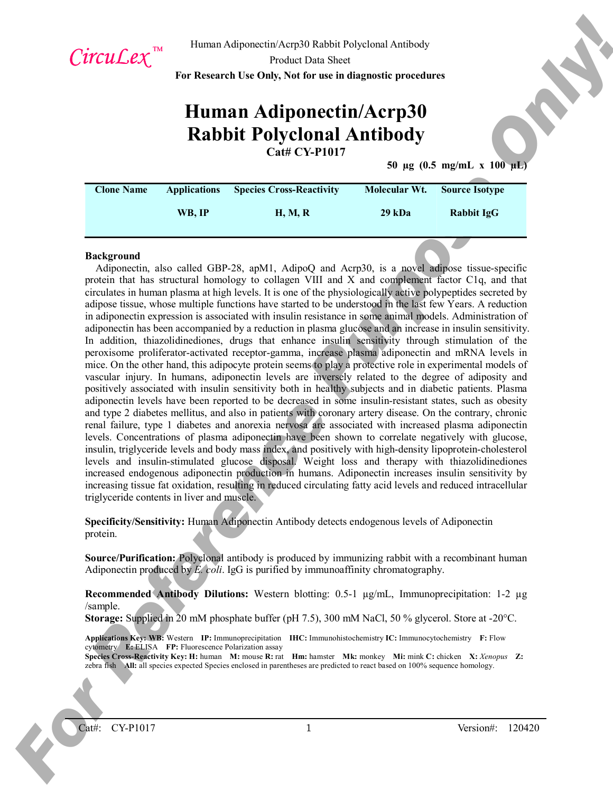

Human Adiponectin/Acrp30 Rabbit Polyclonal Antibody

Product Data Sheet

**For Research Use Only, Not for use in diagnostic procedures**

# **Human Adiponectin/Acrp30 Rabbit Polyclonal Antibody Cat# CY-P1017**

**50 µg (0.5 mg/mL x 100 µL)**

| <b>Clone Name</b> | <b>Applications</b> | <b>Species Cross-Reactivity</b> | Molecular Wt. | <b>Source Isotype</b> |
|-------------------|---------------------|---------------------------------|---------------|-----------------------|
|                   | WB. IP              | <b>H, M, R</b>                  | 29 kDa        | Rabbit IgG            |

#### **Background**

Circuit  $L^2x$  in the maximum disposition of the big consistent of the second of the second of the second of the second of the second of the second of the second of the second of the second of the second of the second of Adiponectin, also called GBP-28, apM1, AdipoQ and Acrp30, is a novel adipose tissue-specific protein that has structural homology to collagen VIII and X and complement factor C1q, and that circulates in human plasma at high levels. It is one of the physiologically active polypeptides secreted by adipose tissue, whose multiple functions have started to be understood in the last few Years. A reduction in adiponectin expression is associated with insulin resistance in some animal models. Administration of adiponectin has been accompanied by a reduction in plasma glucose and an increase in insulin sensitivity. In addition, thiazolidinediones, drugs that enhance insulin sensitivity through stimulation of the peroxisome proliferator-activated receptor-gamma, increase plasma adiponectin and mRNA levels in mice. On the other hand, this adipocyte protein seems to play a protective role in experimental models of vascular injury. In humans, adiponectin levels are inversely related to the degree of adiposity and positively associated with insulin sensitivity both in healthy subjects and in diabetic patients. Plasma adiponectin levels have been reported to be decreased in some insulin-resistant states, such as obesity and type 2 diabetes mellitus, and also in patients with coronary artery disease. On the contrary, chronic renal failure, type 1 diabetes and anorexia nervosa are associated with increased plasma adiponectin levels. Concentrations of plasma adiponectin have been shown to correlate negatively with glucose, insulin, triglyceride levels and body mass index, and positively with high-density lipoprotein-cholesterol levels and insulin-stimulated glucose disposal. Weight loss and therapy with thiazolidinediones increased endogenous adiponectin production in humans. Adiponectin increases insulin sensitivity by increasing tissue fat oxidation, resulting in reduced circulating fatty acid levels and reduced intracellular triglyceride contents in liver and muscle.

**Specificity/Sensitivity:** Human Adiponectin Antibody detects endogenous levels of Adiponectin protein.

**Source/Purification:** Polyclonal antibody is produced by immunizing rabbit with a recombinant human Adiponectin produced by *E. coli*. IgG is purified by immunoaffinity chromatography.

**Recommended Antibody Dilutions:** Western blotting: 0.5-1 µg/mL, Immunoprecipitation: 1-2 µg /sample.

**Storage:** Supplied in 20 mM phosphate buffer (pH 7.5), 300 mM NaCl, 50 % glycerol. Store at -20°C.

**Applications Key: WB:** Western **IP:** Immunoprecipitation **IHC:** Immunohistochemistry **IC:** Immunocytochemistry **F:** Flow cytometry **E:** ELISA **FP:** Fluorescence Polarization assay

**Species Cross-Reactivity Key: H:** human **M:** mouse **R:** rat **Hm:** hamster **Mk:** monkey **Mi:** mink **C:** chicken **X:** *Xenopus* **Z:**  zebra fish **All:** all species expected Species enclosed in parentheses are predicted to react based on 100% sequence homology.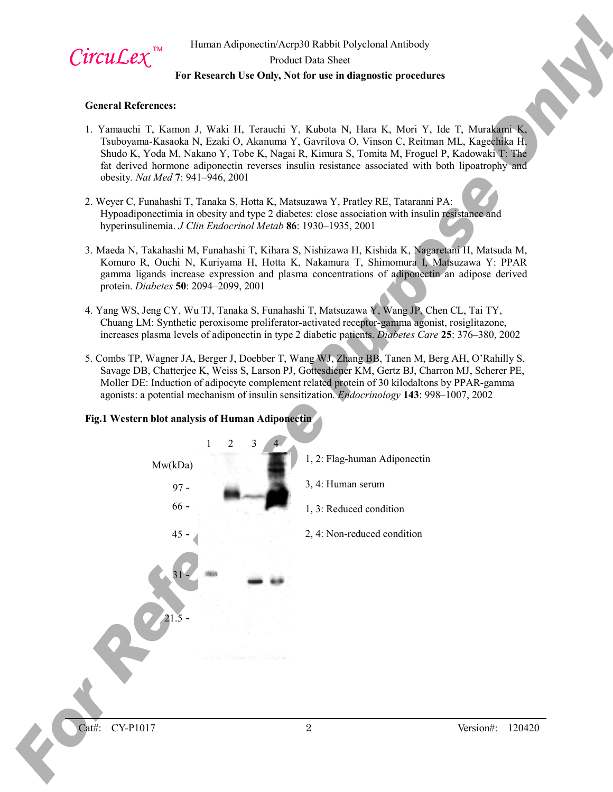

# Human Adiponectin/Acrp30 Rabbit Polyclonal Antibody Product Data Sheet **For Research Use Only, Not for use in diagnostic procedures**

#### **General References:**

- 1. Yamauchi T, Kamon J, Waki H, Terauchi Y, Kubota N, Hara K, Mori Y, Ide T, Murakami K, Tsuboyama-Kasaoka N, Ezaki O, Akanuma Y, Gavrilova O, Vinson C, Reitman ML, Kagechika H, Shudo K, Yoda M, Nakano Y, Tobe K, Nagai R, Kimura S, Tomita M, Froguel P, Kadowaki T: The fat derived hormone adiponectin reverses insulin resistance associated with both lipoatrophy and obesity*. Nat Med* **7**: 941–946, 2001
- 2. Weyer C, Funahashi T, Tanaka S, Hotta K, Matsuzawa Y, Pratley RE, Tataranni PA: Hypoadiponectimia in obesity and type 2 diabetes: close association with insulin resistance and hyperinsulinemia. *J Clin Endocrinol Metab* **86**: 1930–1935, 2001
- 3. Maeda N, Takahashi M, Funahashi T, Kihara S, Nishizawa H, Kishida K, Nagaretani H, Matsuda M, Komuro R, Ouchi N, Kuriyama H, Hotta K, Nakamura T, Shimomura I, Matsuzawa Y: PPAR gamma ligands increase expression and plasma concentrations of adiponectin an adipose derived protein. *Diabetes* **50**: 2094–2099, 2001
- 4. Yang WS, Jeng CY, Wu TJ, Tanaka S, Funahashi T, Matsuzawa Y, Wang JP, Chen CL, Tai TY, Chuang LM: Synthetic peroxisome proliferator-activated receptor-gamma agonist, rosiglitazone, increases plasma levels of adiponectin in type 2 diabetic patients. *Diabetes Care* **25**: 376–380, 2002
- 5. Combs TP, Wagner JA, Berger J, Doebber T, Wang WJ, Zhang BB, Tanen M, Berg AH, O'Rahilly S, Savage DB, Chatterjee K, Weiss S, Larson PJ, Gottesdiener KM, Gertz BJ, Charron MJ, Scherer PE, Moller DE: Induction of adipocyte complement related protein of 30 kilodaltons by PPAR-gamma agonists: a potential mechanism of insulin sensitization. *Endocrinology* **143**: 998–1007, 2002



# **Fig.1 Western blot analysis of Human Adiponectin**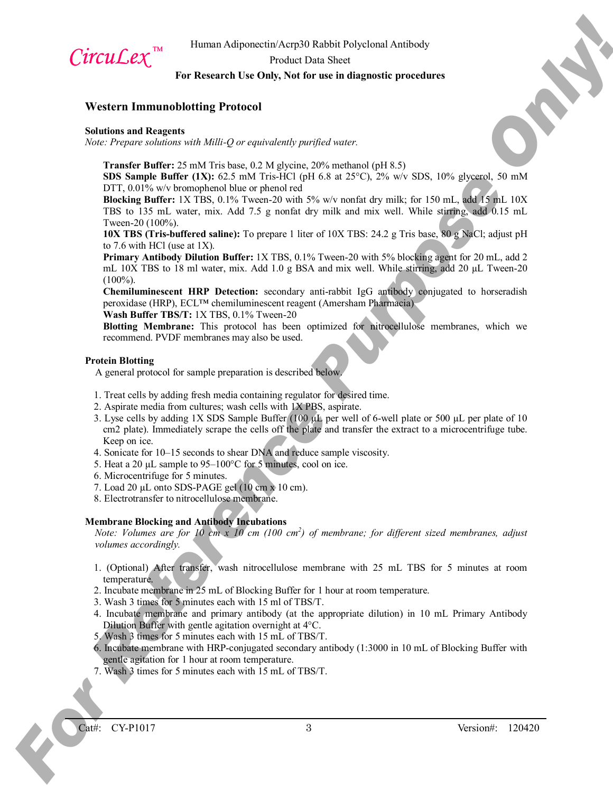

Human Adiponectin/Acrp30 Rabbit Polyclonal Antibody

Product Data Sheet

# **For Research Use Only, Not for use in diagnostic procedures**

# **Western Immunoblotting Protocol**

#### **Solutions and Reagents**

*Note: Prepare solutions with Milli-Q or equivalently purified water.*

**Transfer Buffer:** 25 mM Tris base, 0.2 M glycine, 20% methanol (pH 8.5)

**SDS Sample Buffer (1X):** 62.5 mM Tris-HCl (pH 6.8 at 25°C), 2% w/v SDS, 10% glycerol, 50 mM DTT, 0.01% w/v bromophenol blue or phenol red

**Blocking Buffer:** 1X TBS, 0.1% Tween-20 with 5% w/v nonfat dry milk; for 150 mL, add 15 mL 10X TBS to 135 mL water, mix. Add 7.5 g nonfat dry milk and mix well. While stirring, add 0.15 mL Tween-20 (100%).

**10X TBS (Tris-buffered saline):** To prepare 1 liter of 10X TBS: 24.2 g Tris base, 80 g NaCl; adjust pH to 7.6 with HCl (use at 1X).

**Primary Antibody Dilution Buffer:** 1X TBS, 0.1% Tween-20 with 5% blocking agent for 20 mL, add 2 mL 10X TBS to 18 ml water, mix. Add 1.0 g BSA and mix well. While stirring, add 20  $\mu$ L Tween-20  $(100\%)$ .

**Chemiluminescent HRP Detection:** secondary anti-rabbit IgG antibody conjugated to horseradish peroxidase (HRP), ECL™ chemiluminescent reagent (Amersham Pharmacia)

**Wash Buffer TBS/T:** 1X TBS, 0.1% Tween-20

**Blotting Membrane:** This protocol has been optimized for nitrocellulose membranes, which we recommend. PVDF membranes may also be used.

#### **Protein Blotting**

A general protocol for sample preparation is described below.

- 1. Treat cells by adding fresh media containing regulator for desired time.
- 2. Aspirate media from cultures; wash cells with 1X PBS, aspirate.
- **CITCLICEX, The United Adjusted Purpose Constraint Corporation Comparison (See For Reference Purpose Only 2008)**<br> **For Reference Purpose only and the Comparison Comparison (See For Reference Purpose Only 2008)**<br>
Some Purp 3. Lyse cells by adding 1X SDS Sample Buffer (100  $\mu$ L per well of 6-well plate or 500  $\mu$ L per plate of 10 cm<sub>2</sub> plate). Immediately scrape the cells off the plate and transfer the extract to a microcentrifuge tube. Keep on ice.
	- 4. Sonicate for 10–15 seconds to shear DNA and reduce sample viscosity.
	- 5. Heat a 20 µL sample to 95–100°C for 5 minutes, cool on ice.
	- 6. Microcentrifuge for 5 minutes.
	- 7. Load 20 µL onto SDS-PAGE gel (10 cm x 10 cm).
	- 8. Electrotransfer to nitrocellulose membrane.

# **Membrane Blocking and Antibody Incubations**

*Note: Volumes are for 10 cm x 10 cm (100 cm<sup>2</sup> ) of membrane; for different sized membranes, adjust volumes accordingly.*

- 1. (Optional) After transfer, wash nitrocellulose membrane with 25 mL TBS for 5 minutes at room temperature.
- 2. Incubate membrane in 25 mL of Blocking Buffer for 1 hour at room temperature.
- 3. Wash 3 times for 5 minutes each with 15 ml of TBS/T.
- 4. Incubate membrane and primary antibody (at the appropriate dilution) in 10 mL Primary Antibody Dilution Buffer with gentle agitation overnight at 4°C.
- 5. Wash 3 times for 5 minutes each with 15 mL of TBS/T.
- 6. Incubate membrane with HRP-conjugated secondary antibody (1:3000 in 10 mL of Blocking Buffer with gentle agitation for 1 hour at room temperature.
- 7. Wash 3 times for 5 minutes each with 15 mL of TBS/T.